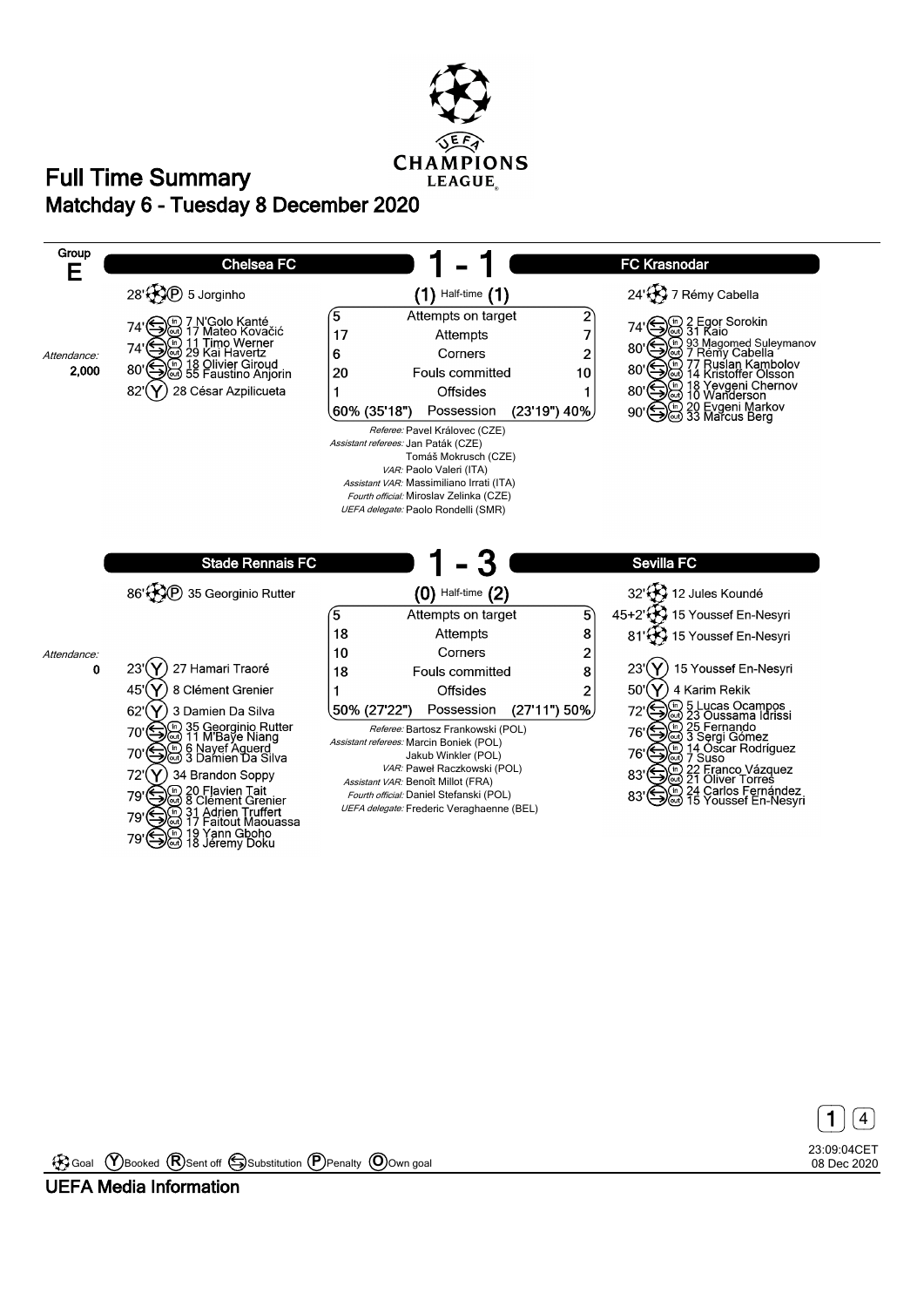





Goal **Y** Booked **R** Sent off Substitution **P** Penalty **O** Own goal

**UEFA Media Information**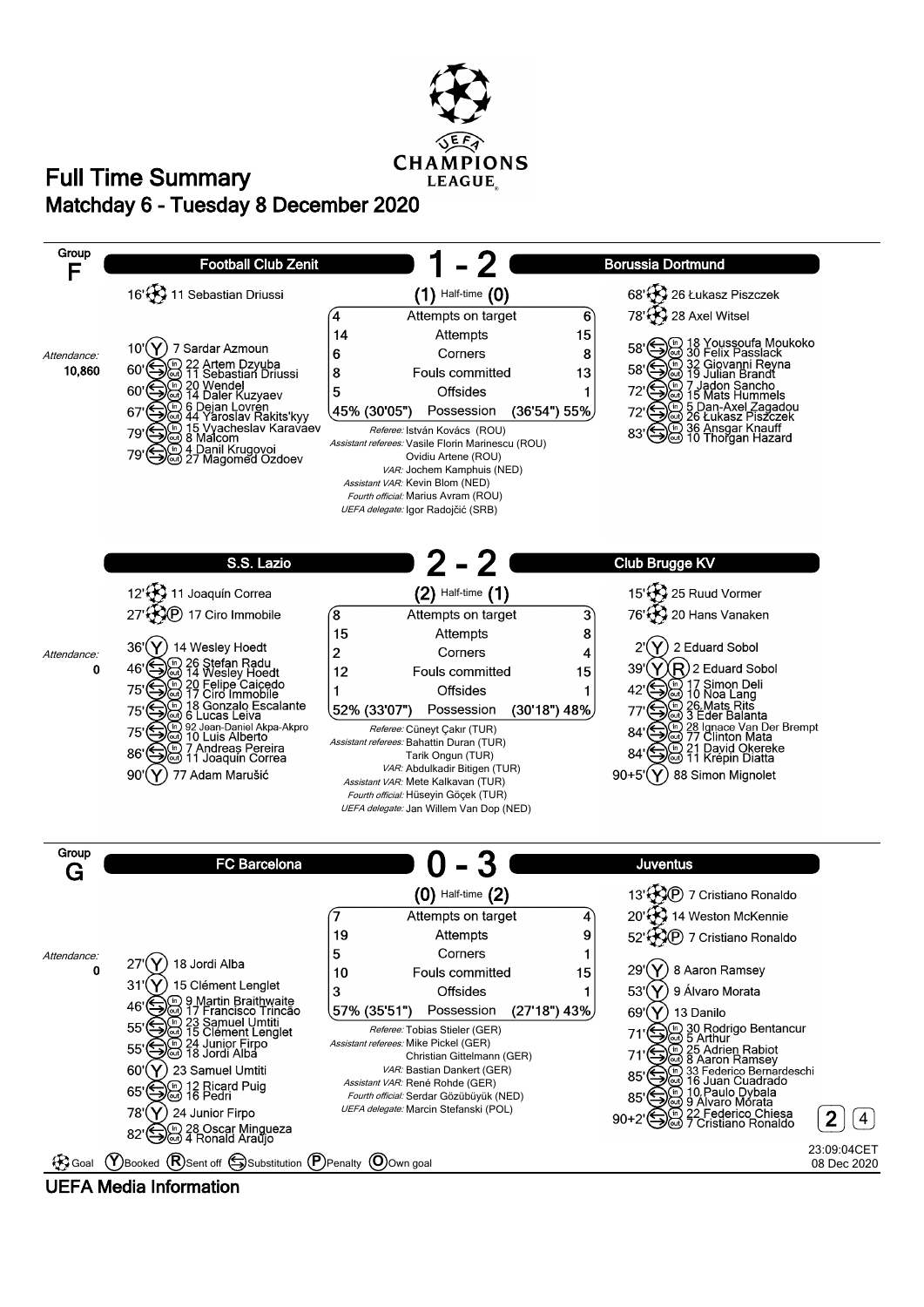

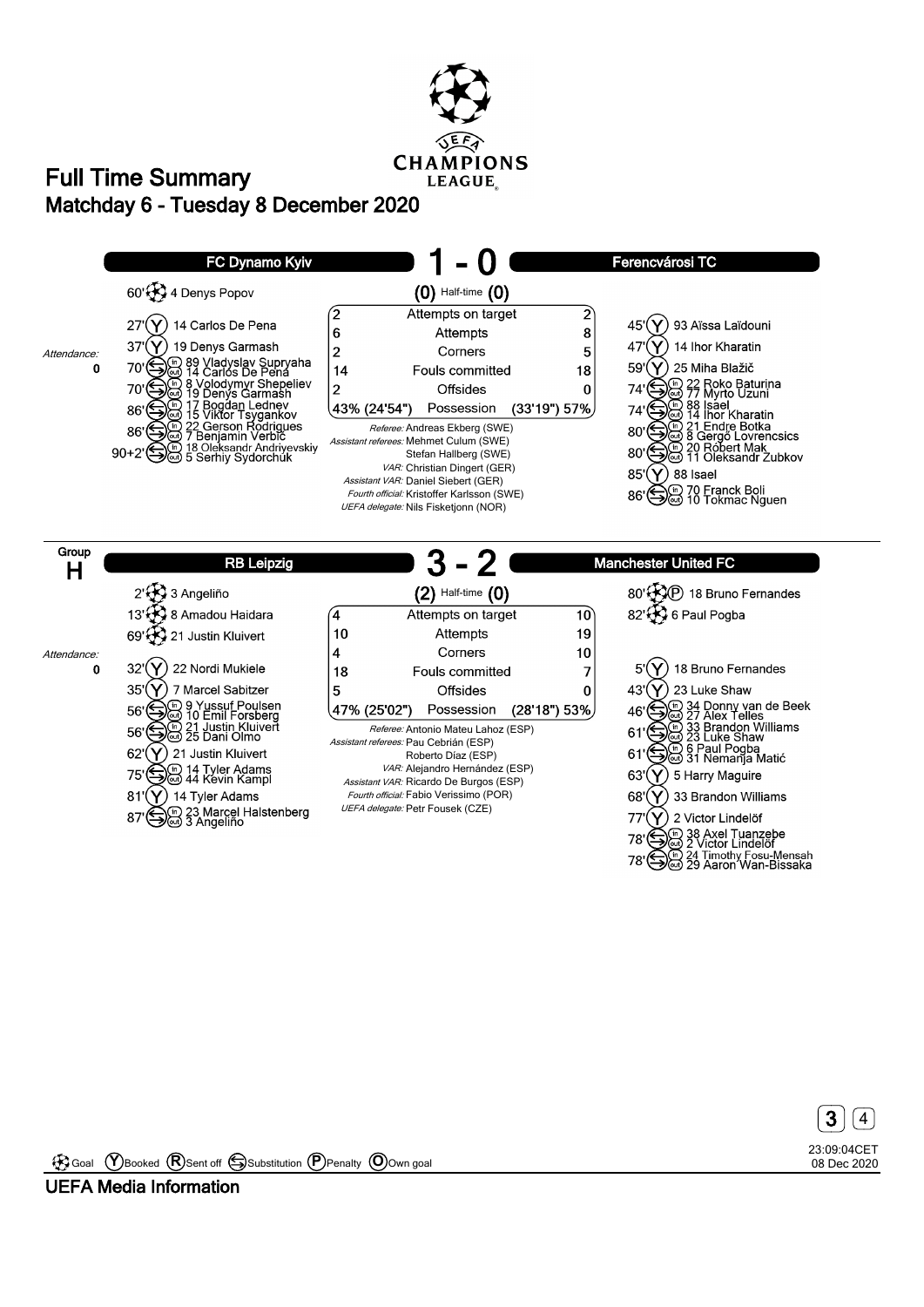![](_page_2_Picture_0.jpeg)

![](_page_2_Figure_2.jpeg)

*UEFA delegate:* Petr Fousek (CZE)

87 Sm 23 Marcel Halstenberg

 $(\mathsf{Y})$  2 Victor Lindelöf  $77'$ 78' Color Lindolor<br>78' Capital Axel Tuanzebe<br>2 Victor Lindelor

24 Timothy Fosu-Mensah<br>29 Aaron Wan-Bissaka 78

> 23:09:04CET 08 Dec 2020 **3**  $|$  4

Goal **Y** Booked **R** Sent off Substitution **P** Penalty **O** Own goal

**UEFA Media Information**